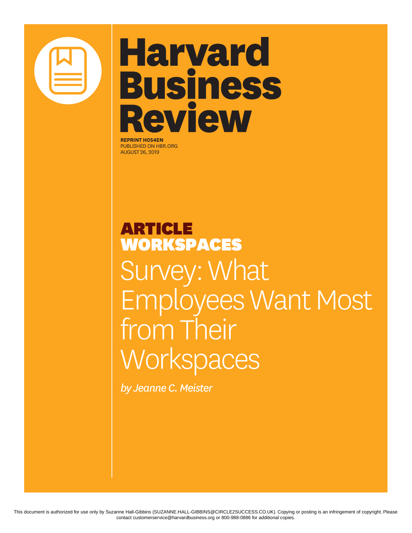

# **Harvard Business Review**

**REPRINT H054EN** PUBLISHED ON HBR.ORG AUGUST 26, 2019

## ARTICLE WORKSPACES Survey: What Employees Want Most from Their **Workspaces**

*by Jeanne C. Meister*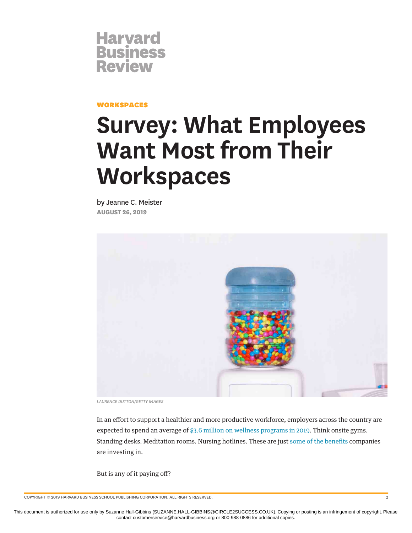

#### WORKSPACES

### **Survey: What Employees Want Most from Their Workspaces**

by Jeanne C. Meister **AUGUST 26, 2019**



*LAURENCE DUTTON/GETTY IMAGES*

In an effort to support a healthier and more productive workforce, employers across the country are expected to spend an average of [\\$3.6 million on wellness programs in 2019](https://www.businessgrouphealth.org/news/nbgh-news/press-releases/press-release-details/?ID=355). Think onsite gyms. Standing desks. Meditation rooms. Nursing hotlines. These are just [some of the benefits](https://www.shrm.org/hr-today/trends-and-forecasting/research-and-surveys/Documents/2018%20Employee%20Benefits%20Report.pdf) companies are investing in.

But is any of it paying off?

COPYRIGHT © 2019 HARVARD BUSINESS SCHOOL PUBLISHING CORPORATION. ALL RIGHTS RESERVED. 2

This document is authorized for use only by Suzanne Hall-Gibbins (SUZANNE.HALL-GIBBINS@CIRCLE2SUCCESS.CO.UK). Copying or posting is an infringement of copyright. Please contact customerservice@harvardbusiness.org or 800-988-0886 for additional copies.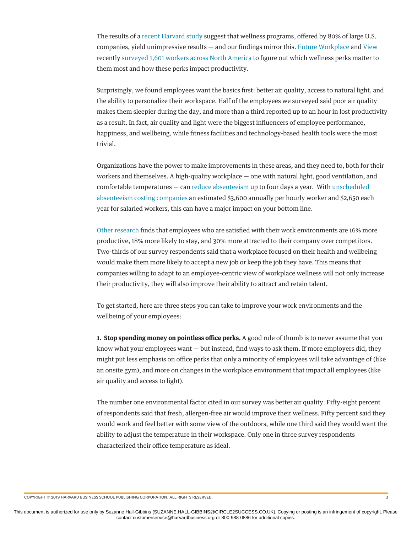The results of a [recent Harvard study](https://news.harvard.edu/gazette/story/2019/04/workplace-wellness-programs-yield-unimpressive-results-in-short-term/) suggest that wellness programs, offered by 80% of large U.S. companies, yield unimpressive results — and our findings mirror this. [Future Workplace](https://futureworkplace.com/) and [View](https://view.com/) recently [surveyed 1,601 workers across North America](https://futureworkplace.com/future-workplace-wellness-study/) to figure out which wellness perks matter to them most and how these perks impact productivity.

Surprisingly, we found employees want the basics first: better air quality, access to natural light, and the ability to personalize their workspace. Half of the employees we surveyed said poor air quality makes them sleepier during the day, and more than a third reported up to an hour in lost productivity as a result. In fact, air quality and light were the biggest influencers of employee performance, happiness, and wellbeing, while fitness facilities and technology-based health tools were the most trivial.

Organizations have the power to make improvements in these areas, and they need to, both for their workers and themselves. A high-quality workplace — one with natural light, good ventilation, and comfortable temperatures — can [reduce absenteeism](https://stok.com/wp-content/uploads/2018/10/stok_report_financial-case-for-high-performance-buildings.pdf) up to four days a year. With [unscheduled](https://business.dailypay.com/blog/absent-employees) [absenteeism costing companies](https://business.dailypay.com/blog/absent-employees) an estimated \$3,600 annually per hourly worker and \$2,650 each year for salaried workers, this can have a major impact on your bottom line.

[Other research](https://www.gartner.com/en/documents/3887664) finds that employees who are satisfied with their work environments are 16% more productive, 18% more likely to stay, and 30% more attracted to their company over competitors. Two-thirds of our survey respondents said that a workplace focused on their health and wellbeing would make them more likely to accept a new job or keep the job they have. This means that companies willing to adapt to an employee-centric view of workplace wellness will not only increase their productivity, they will also improve their ability to attract and retain talent.

To get started, here are three steps you can take to improve your work environments and the wellbeing of your employees:

**1. Stop spending money on pointless office perks.** A good rule of thumb is to never assume that you know what your employees want — but instead, find ways to ask them. If more employers did, they might put less emphasis on office perks that only a minority of employees will take advantage of (like an onsite gym), and more on changes in the workplace environment that impact all employees (like air quality and access to light).

The number one environmental factor cited in our survey was better air quality. Fifty-eight percent of respondents said that fresh, allergen-free air would improve their wellness. Fifty percent said they would work and feel better with some view of the outdoors, while one third said they would want the ability to adjust the temperature in their workspace. Only one in three survey respondents characterized their office temperature as ideal.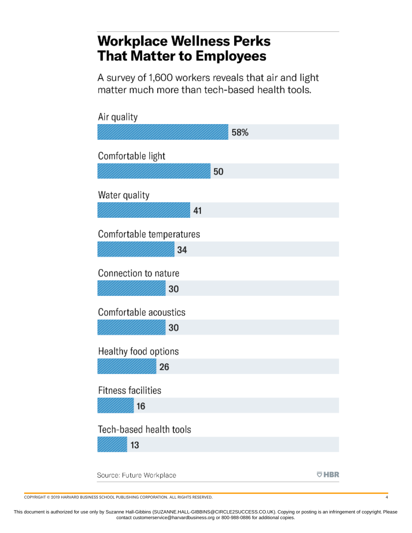### **Workplace Wellness Perks That Matter to Employees**

A survey of 1,600 workers reveals that air and light matter much more than tech-based health tools.

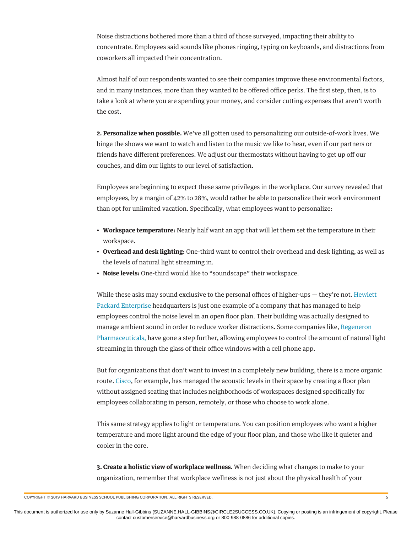Noise distractions bothered more than a third of those surveyed, impacting their ability to concentrate. Employees said sounds like phones ringing, typing on keyboards, and distractions from coworkers all impacted their concentration.

Almost half of our respondents wanted to see their companies improve these environmental factors, and in many instances, more than they wanted to be offered office perks. The first step, then, is to take a look at where you are spending your money, and consider cutting expenses that aren't worth the cost.

**2. Personalize when possible.** We've all gotten used to personalizing our outside-of-work lives. We binge the shows we want to watch and listen to the music we like to hear, even if our partners or friends have different preferences. We adjust our thermostats without having to get up off our couches, and dim our lights to our level of satisfaction.

Employees are beginning to expect these same privileges in the workplace. Our survey revealed that employees, by a margin of 42% to 28%, would rather be able to personalize their work environment than opt for unlimited vacation. Specifically, what employees want to personalize:

- **Workspace temperature:** Nearly half want an app that will let them set the temperature in their workspace.
- **Overhead and desk lighting:** One-third want to control their overhead and desk lighting, as well as the levels of natural light streaming in.
- **Noise levels:** One-third would like to "soundscape" their workspace.

While these asks may sound exclusive to the personal offices of higher-ups — they're not. [Hewlett](https://www.bizjournals.com/sanjose/news/2019/04/30/hpe-new-hq-north-san-jose.html#g/452907/13) [Packard Enterprise h](https://www.bizjournals.com/sanjose/news/2019/04/30/hpe-new-hq-north-san-jose.html#g/452907/13)eadquarters is just one example of a company that has managed to help employees control the noise level in an open floor plan. Their building was actually designed to manage ambient sound in order to reduce worker distractions. Some companies like, [Regeneron](https://dailyvoiceplus.com/westchester/westchester-business-journal/real-estate/regeneron-goes-high-tech-with-smart-windows/773017/) [Pharmaceuticals,](https://dailyvoiceplus.com/westchester/westchester-business-journal/real-estate/regeneron-goes-high-tech-with-smart-windows/773017/) have gone a step further, allowing employees to control the amount of natural light streaming in through the glass of their office windows with a cell phone app.

But for organizations that don't want to invest in a completely new building, there is a more organic route. [Cisco,](https://www.cisco.com/c/en/us/about/cisco-on-cisco/collaboration/connected-workplace-web.html) for example, has managed the acoustic levels in their space by creating a floor plan without assigned seating that includes neighborhoods of workspaces designed specifically for employees collaborating in person, remotely, or those who choose to work alone.

This same strategy applies to light or temperature. You can position employees who want a higher temperature and more light around the edge of your floor plan, and those who like it quieter and cooler in the core.

**3. Create a holistic view of workplace wellness.** When deciding what changes to make to your organization, remember that workplace wellness is not just about the physical health of your